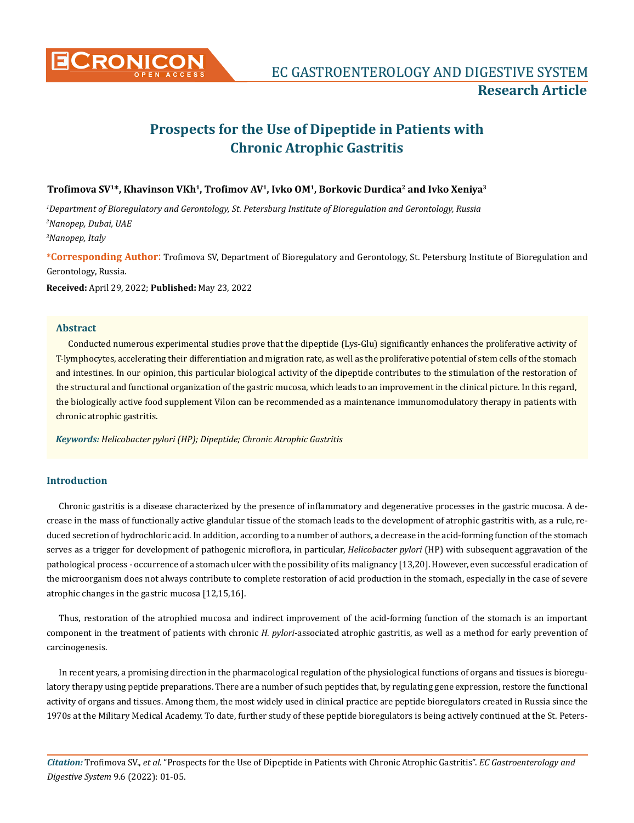

# **Prospects for the Use of Dipeptide in Patients with Chronic Atrophic Gastritis**

# **Trofimova SV<sup>1</sup>\*, Khavinson VKh<sup>1</sup>, Trofimov AV<sup>1</sup>, Ivko OM<sup>1</sup>, Borkovic Durdica<sup>2</sup> and Ivko Xeniya<sup>3</sup>**

*1 Department of Bioregulatory and Gerontology, St. Petersburg Institute of Bioregulation and Gerontology, Russia 2 Nanopep, Dubai, UAE 3 Nanopep, Italy*

**\*Corresponding Author**: Trofimova SV, Department of Bioregulatory and Gerontology, St. Petersburg Institute of Bioregulation and Gerontology, Russia.

**Received:** April 29, 2022; **Published:** May 23, 2022

### **Abstract**

Conducted numerous experimental studies prove that the dipeptide (Lys-Glu) significantly enhances the proliferative activity of T-lymphocytes, accelerating their differentiation and migration rate, as well as the proliferative potential of stem cells of the stomach and intestines. In our opinion, this particular biological activity of the dipeptide contributes to the stimulation of the restoration of the structural and functional organization of the gastric mucosa, which leads to an improvement in the clinical picture. In this regard, the biologically active food supplement Vilon can be recommended as a maintenance immunomodulatory therapy in patients with chronic atrophic gastritis.

*Keywords: Helicobacter pylori (HP); Dipeptide; Chronic Atrophic Gastritis*

# **Introduction**

Chronic gastritis is a disease characterized by the presence of inflammatory and degenerative processes in the gastric mucosa. A decrease in the mass of functionally active glandular tissue of the stomach leads to the development of atrophic gastritis with, as a rule, reduced secretion of hydrochloric acid. In addition, according to a number of authors, a decrease in the acid-forming function of the stomach serves as a trigger for development of pathogenic microflora, in particular, *Helicobacter pylori* (HP) with subsequent aggravation of the pathological process - occurrence of a stomach ulcer with the possibility of its malignancy [13,20]. However, even successful eradication of the microorganism does not always contribute to complete restoration of acid production in the stomach, especially in the case of severe atrophic changes in the gastric mucosa [12,15,16].

Thus, restoration of the atrophied mucosa and indirect improvement of the acid-forming function of the stomach is an important component in the treatment of patients with chronic *H. pylori*-associated atrophic gastritis, as well as a method for early prevention of carcinogenesis.

In recent years, a promising direction in the pharmacological regulation of the physiological functions of organs and tissues is bioregulatory therapy using peptide preparations. There are a number of such peptides that, by regulating gene expression, restore the functional activity of organs and tissues. Among them, the most widely used in clinical practice are peptide bioregulators created in Russia since the 1970s at the Military Medical Academy. To date, further study of these peptide bioregulators is being actively continued at the St. Peters-

*Citation:* Trofimova SV., *et al.* "Prospects for the Use of Dipeptide in Patients with Chronic Atrophic Gastritis". *EC Gastroenterology and Digestive System* 9.6 (2022): 01-05.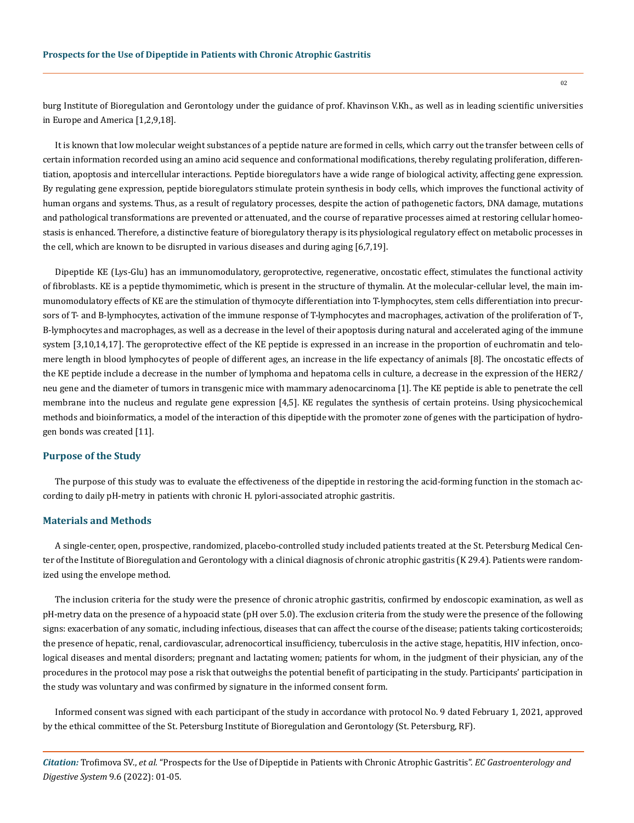burg Institute of Bioregulation and Gerontology under the guidance of prof. Khavinson V.Kh., as well as in leading scientific universities in Europe and America [1,2,9,18].

It is known that low molecular weight substances of a peptide nature are formed in cells, which carry out the transfer between cells of certain information recorded using an amino acid sequence and conformational modifications, thereby regulating proliferation, differentiation, apoptosis and intercellular interactions. Peptide bioregulators have a wide range of biological activity, affecting gene expression. By regulating gene expression, peptide bioregulators stimulate protein synthesis in body cells, which improves the functional activity of human organs and systems. Thus, as a result of regulatory processes, despite the action of pathogenetic factors, DNA damage, mutations and pathological transformations are prevented or attenuated, and the course of reparative processes aimed at restoring cellular homeostasis is enhanced. Therefore, a distinctive feature of bioregulatory therapy is its physiological regulatory effect on metabolic processes in the cell, which are known to be disrupted in various diseases and during aging [6,7,19].

Dipeptide KE (Lys-Glu) has an immunomodulatory, geroprotective, regenerative, oncostatic effect, stimulates the functional activity of fibroblasts. KE is a peptide thymomimetic, which is present in the structure of thymalin. At the molecular-cellular level, the main immunomodulatory effects of KE are the stimulation of thymocyte differentiation into T-lymphocytes, stem cells differentiation into precursors of T- and B-lymphocytes, activation of the immune response of T-lymphocytes and macrophages, activation of the proliferation of T-, B-lymphocytes and macrophages, as well as a decrease in the level of their apoptosis during natural and accelerated aging of the immune system [3,10,14,17]. The geroprotective effect of the KE peptide is expressed in an increase in the proportion of euchromatin and telomere length in blood lymphocytes of people of different ages, an increase in the life expectancy of animals [8]. The oncostatic effects of the KE peptide include a decrease in the number of lymphoma and hepatoma cells in culture, a decrease in the expression of the HER2/ neu gene and the diameter of tumors in transgenic mice with mammary adenocarcinoma [1]. The KE peptide is able to penetrate the cell membrane into the nucleus and regulate gene expression [4,5]. KE regulates the synthesis of certain proteins. Using physicochemical methods and bioinformatics, a model of the interaction of this dipeptide with the promoter zone of genes with the participation of hydrogen bonds was created [11].

## **Purpose of the Study**

The purpose of this study was to evaluate the effectiveness of the dipeptide in restoring the acid-forming function in the stomach according to daily pH-metry in patients with chronic H. pylori-associated atrophic gastritis.

#### **Materials and Methods**

A single-center, open, prospective, randomized, placebo-controlled study included patients treated at the St. Petersburg Medical Center of the Institute of Bioregulation and Gerontology with a clinical diagnosis of chronic atrophic gastritis (K 29.4). Patients were randomized using the envelope method.

The inclusion criteria for the study were the presence of chronic atrophic gastritis, confirmed by endoscopic examination, as well as pH-metry data on the presence of a hypoacid state (pH over 5.0). The exclusion criteria from the study were the presence of the following signs: exacerbation of any somatic, including infectious, diseases that can affect the course of the disease; patients taking corticosteroids; the presence of hepatic, renal, cardiovascular, adrenocortical insufficiency, tuberculosis in the active stage, hepatitis, HIV infection, oncological diseases and mental disorders; pregnant and lactating women; patients for whom, in the judgment of their physician, any of the procedures in the protocol may pose a risk that outweighs the potential benefit of participating in the study. Participants' participation in the study was voluntary and was confirmed by signature in the informed consent form.

Informed consent was signed with each participant of the study in accordance with protocol No. 9 dated February 1, 2021, approved by the ethical committee of the St. Petersburg Institute of Bioregulation and Gerontology (St. Petersburg, RF).

*Citation:* Trofimova SV., *et al.* "Prospects for the Use of Dipeptide in Patients with Chronic Atrophic Gastritis". *EC Gastroenterology and Digestive System* 9.6 (2022): 01-05.

02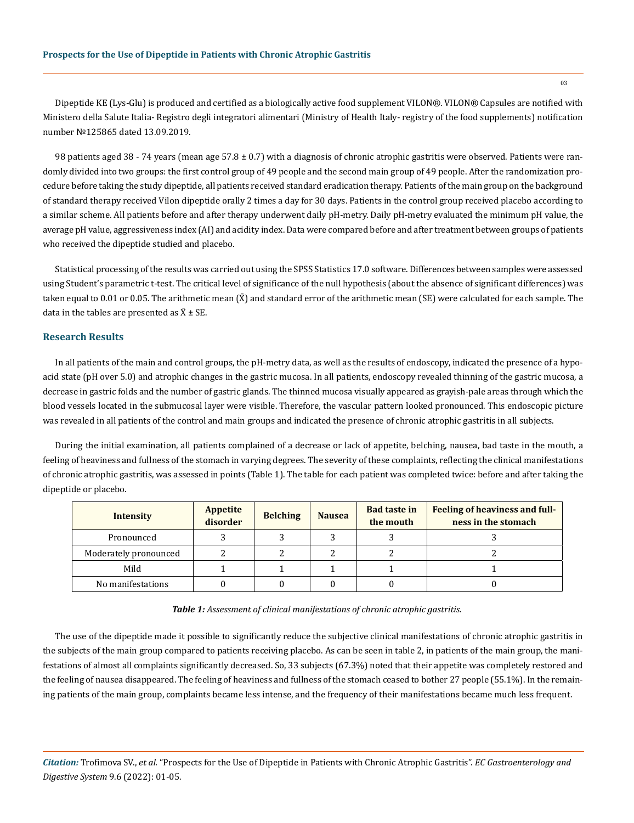Dipeptide KE (Lys-Glu) is produced and certified as a biologically active food supplement VILON®️. VILON®️ Capsules are notified with Ministero della Salute Italia- Registro degli integratori alimentari (Ministry of Health Italy- registry of the food supplements) notification number №125865 dated 13.09.2019.

98 patients aged 38 - 74 years (mean age 57.8  $\pm$  0.7) with a diagnosis of chronic atrophic gastritis were observed. Patients were randomly divided into two groups: the first control group of 49 people and the second main group of 49 people. After the randomization procedure before taking the study dipeptide, all patients received standard eradication therapy. Patients of the main group on the background of standard therapy received Vilon dipeptide orally 2 times a day for 30 days. Patients in the control group received placebo according to a similar scheme. All patients before and after therapy underwent daily pH-metry. Daily pH-metry evaluated the minimum pH value, the average pH value, aggressiveness index (AI) and acidity index. Data were compared before and after treatment between groups of patients who received the dipeptide studied and placebo.

Statistical processing of the results was carried out using the SPSS Statistics 17.0 software. Differences between samples were assessed using Student's parametric t-test. The critical level of significance of the null hypothesis (about the absence of significant differences) was taken equal to 0.01 or 0.05. The arithmetic mean  $(\bar{X})$  and standard error of the arithmetic mean (SE) were calculated for each sample. The data in the tables are presented as  $\bar{X} \pm SE$ .

## **Research Results**

In all patients of the main and control groups, the pH-metry data, as well as the results of endoscopy, indicated the presence of a hypoacid state (pH over 5.0) and atrophic changes in the gastric mucosa. In all patients, endoscopy revealed thinning of the gastric mucosa, a decrease in gastric folds and the number of gastric glands. The thinned mucosa visually appeared as grayish-pale areas through which the blood vessels located in the submucosal layer were visible. Therefore, the vascular pattern looked pronounced. This endoscopic picture was revealed in all patients of the control and main groups and indicated the presence of chronic atrophic gastritis in all subjects.

During the initial examination, all patients complained of a decrease or lack of appetite, belching, nausea, bad taste in the mouth, a feeling of heaviness and fullness of the stomach in varying degrees. The severity of these complaints, reflecting the clinical manifestations of chronic atrophic gastritis, was assessed in points (Table 1). The table for each patient was completed twice: before and after taking the dipeptide or placebo.

| <b>Intensity</b>      | <b>Appetite</b><br>disorder | <b>Belching</b> | <b>Nausea</b> | <b>Bad taste in</b><br>the mouth | Feeling of heaviness and full-<br>ness in the stomach |
|-----------------------|-----------------------------|-----------------|---------------|----------------------------------|-------------------------------------------------------|
| Pronounced            |                             |                 |               |                                  |                                                       |
| Moderately pronounced |                             |                 |               |                                  |                                                       |
| Mild                  |                             |                 |               |                                  |                                                       |
| No manifestations     |                             |                 |               |                                  |                                                       |

| Table 1: Assessment of clinical manifestations of chronic atrophic gastritis. |  |  |  |  |
|-------------------------------------------------------------------------------|--|--|--|--|
|-------------------------------------------------------------------------------|--|--|--|--|

The use of the dipeptide made it possible to significantly reduce the subjective clinical manifestations of chronic atrophic gastritis in the subjects of the main group compared to patients receiving placebo. As can be seen in table 2, in patients of the main group, the manifestations of almost all complaints significantly decreased. So, 33 subjects (67.3%) noted that their appetite was completely restored and the feeling of nausea disappeared. The feeling of heaviness and fullness of the stomach ceased to bother 27 people (55.1%). In the remaining patients of the main group, complaints became less intense, and the frequency of their manifestations became much less frequent.

*Citation:* Trofimova SV., *et al.* "Prospects for the Use of Dipeptide in Patients with Chronic Atrophic Gastritis". *EC Gastroenterology and Digestive System* 9.6 (2022): 01-05.

03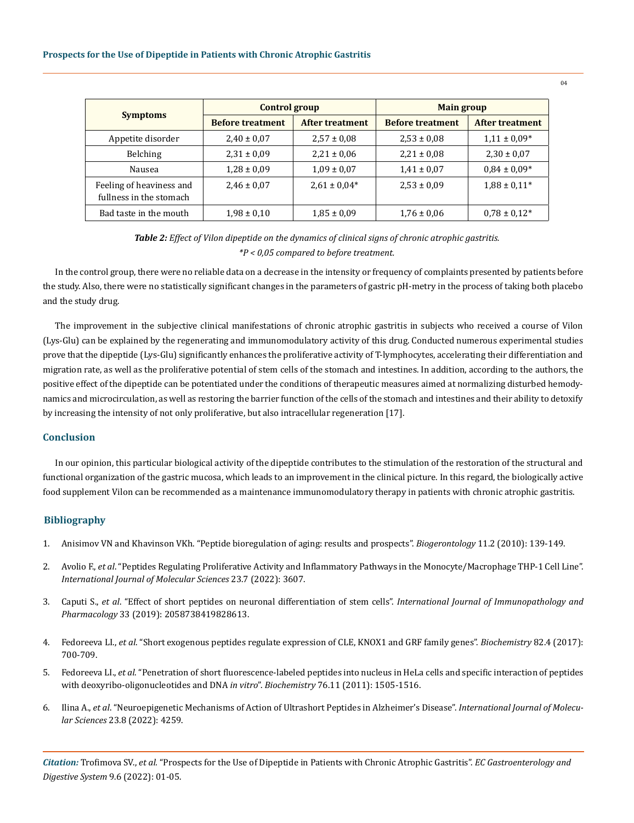|                                                     | <b>Control group</b>    |                        | <b>Main group</b>       |                  |  |
|-----------------------------------------------------|-------------------------|------------------------|-------------------------|------------------|--|
| <b>Symptoms</b>                                     | <b>Before treatment</b> | <b>After treatment</b> | <b>Before treatment</b> | After treatment  |  |
| Appetite disorder                                   | $2,40 \pm 0,07$         | $2,57 \pm 0.08$        | $2,53 \pm 0,08$         | $1,11 \pm 0.09*$ |  |
| Belching                                            | $2,31 \pm 0,09$         | $2,21 \pm 0.06$        | $2,21 \pm 0.08$         | $2,30 \pm 0.07$  |  |
| Nausea                                              | $1,28 \pm 0,09$         | $1,09 \pm 0,07$        | $1,41 \pm 0,07$         | $0.84 \pm 0.09*$ |  |
| Feeling of heaviness and<br>fullness in the stomach | $2,46 \pm 0,07$         | $2,61 \pm 0.04*$       | $2,53 \pm 0,09$         | $1.88 \pm 0.11*$ |  |
| Bad taste in the mouth                              | $1,98 \pm 0,10$         | $1,85 \pm 0,09$        | $1,76 \pm 0,06$         | $0.78 \pm 0.12*$ |  |

# *Table 2: Effect of Vilon dipeptide on the dynamics of clinical signs of chronic atrophic gastritis. \*P < 0,05 compared to before treatment.*

In the control group, there were no reliable data on a decrease in the intensity or frequency of complaints presented by patients before the study. Also, there were no statistically significant changes in the parameters of gastric pH-metry in the process of taking both placebo and the study drug.

The improvement in the subjective clinical manifestations of chronic atrophic gastritis in subjects who received a course of Vilon (Lys-Glu) can be explained by the regenerating and immunomodulatory activity of this drug. Conducted numerous experimental studies prove that the dipeptide (Lys-Glu) significantly enhances the proliferative activity of T-lymphocytes, accelerating their differentiation and migration rate, as well as the proliferative potential of stem cells of the stomach and intestines. In addition, according to the authors, the positive effect of the dipeptide can be potentiated under the conditions of therapeutic measures aimed at normalizing disturbed hemodynamics and microcirculation, as well as restoring the barrier function of the cells of the stomach and intestines and their ability to detoxify by increasing the intensity of not only proliferative, but also intracellular regeneration [17].

## **Conclusion**

In our opinion, this particular biological activity of the dipeptide contributes to the stimulation of the restoration of the structural and functional organization of the gastric mucosa, which leads to an improvement in the clinical picture. In this regard, the biologically active food supplement Vilon can be recommended as a maintenance immunomodulatory therapy in patients with chronic atrophic gastritis.

# **Bibliography**

- 1. [Anisimov VN and Khavinson VKh. "Peptide bioregulation of aging: results and prospects".](https://pubmed.ncbi.nlm.nih.gov/19830585/) *Biogerontology* 11.2 (2010): 139-149.
- 2. Avolio F., *et al*[. "Peptides Regulating Proliferative Activity and Inflammatory Pathways in the Monocyte/Macrophage THP-1 Cell Line".](https://pubmed.ncbi.nlm.nih.gov/35408963/)  *[International Journal of Molecular Sciences](https://pubmed.ncbi.nlm.nih.gov/35408963/)* 23.7 (2022): 3607.
- 3. Caputi S., *et al*[. "Effect of short peptides on neuronal differentiation of stem cells".](https://pubmed.ncbi.nlm.nih.gov/30791821/) *International Journal of Immunopathology and Pharmacology* [33 \(2019\): 2058738419828613.](https://pubmed.ncbi.nlm.nih.gov/30791821/)
- 4. Fedoreeva LI., *et al*[. "Short exogenous peptides regulate expression of CLE, KNOX1 and GRF family genes".](https://pubmed.ncbi.nlm.nih.gov/28371610/) *Biochemistry* 82.4 (2017): [700-709.](https://pubmed.ncbi.nlm.nih.gov/28371610/)
- 5. Fedoreeva LI., *et al*[. "Penetration of short fluorescence-labeled peptides into nucleus in HeLa cells and specific interaction of peptides](https://pubmed.ncbi.nlm.nih.gov/22117547/)  [with deoxyribo-oligonucleotides and DNA](https://pubmed.ncbi.nlm.nih.gov/22117547/) *in vitro*". *Biochemistry* 76.11 (2011): 1505-1516.
- 6. Ilina A., *et al*[. "Neuroepigenetic Mechanisms of Action of Ultrashort Peptides in Alzheimer's Disease".](https://pubmed.ncbi.nlm.nih.gov/35457077/) *International Journal of Molecular Sciences* [23.8 \(2022\): 4259.](https://pubmed.ncbi.nlm.nih.gov/35457077/)

*Citation:* Trofimova SV., *et al.* "Prospects for the Use of Dipeptide in Patients with Chronic Atrophic Gastritis". *EC Gastroenterology and Digestive System* 9.6 (2022): 01-05.